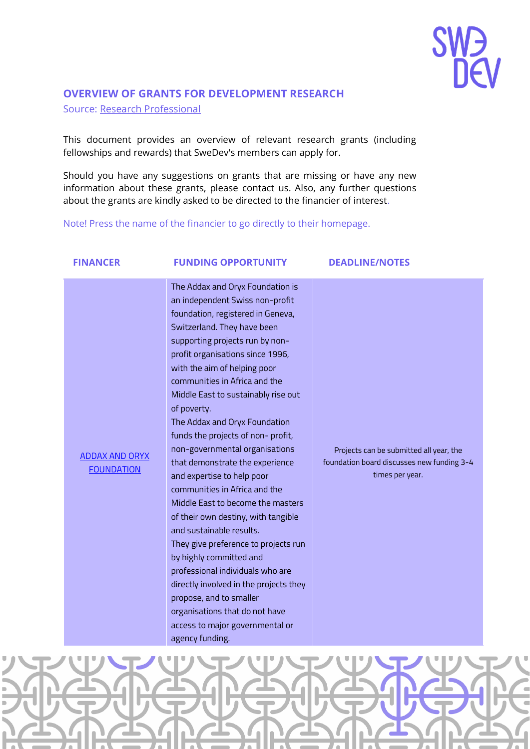

### **OVERVIEW OF GRANTS FOR DEVELOPMENT RESEARCH**

Source: Research Professional

This document provides an overview of relevant research grants (including fellowships and rewards) that SweDev's members can apply for.

Should you have any suggestions on grants that are missing or have any new information about these grants, please contact us. Also, any further questions about the grants are kindly asked to be directed to the financier of interest.

Note! Press the name of the financier to go directly to their homepage.

| <b>FINANCER</b>                            | <b>FUNDING OPPORTUNITY</b>                                                                                                                                                                                                                                                                                                                                                                                                                                                                                                                                                                                                                                                                                                                                                                                                                                                                                                  | <b>DEADLINE/NOTES</b>                                                                                    |
|--------------------------------------------|-----------------------------------------------------------------------------------------------------------------------------------------------------------------------------------------------------------------------------------------------------------------------------------------------------------------------------------------------------------------------------------------------------------------------------------------------------------------------------------------------------------------------------------------------------------------------------------------------------------------------------------------------------------------------------------------------------------------------------------------------------------------------------------------------------------------------------------------------------------------------------------------------------------------------------|----------------------------------------------------------------------------------------------------------|
| <b>ADDAX AND ORYX</b><br><b>FOUNDATION</b> | The Addax and Oryx Foundation is<br>an independent Swiss non-profit<br>foundation, registered in Geneva,<br>Switzerland. They have been<br>supporting projects run by non-<br>profit organisations since 1996,<br>with the aim of helping poor<br>communities in Africa and the<br>Middle East to sustainably rise out<br>of poverty.<br>The Addax and Oryx Foundation<br>funds the projects of non-profit,<br>non-governmental organisations<br>that demonstrate the experience<br>and expertise to help poor<br>communities in Africa and the<br>Middle East to become the masters<br>of their own destiny, with tangible<br>and sustainable results.<br>They give preference to projects run<br>by highly committed and<br>professional individuals who are<br>directly involved in the projects they<br>propose, and to smaller<br>organisations that do not have<br>access to major governmental or<br>agency funding. | Projects can be submitted all year, the<br>foundation board discusses new funding 3-4<br>times per year. |

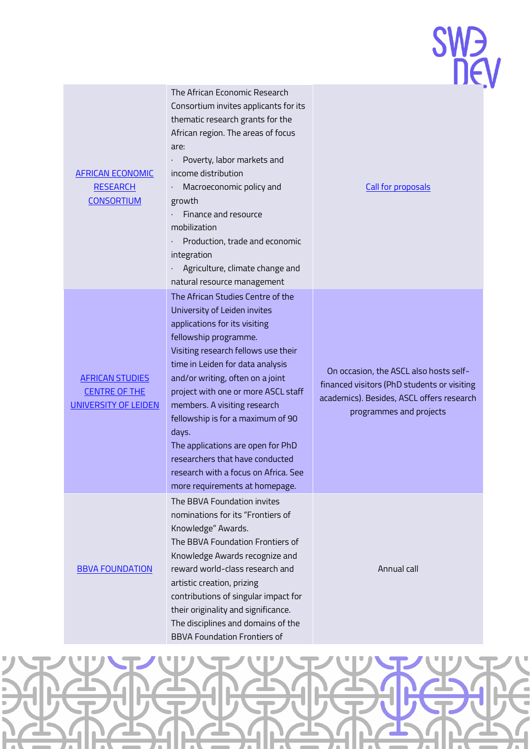

| <b>AFRICAN ECONOMIC</b><br><b>RESEARCH</b><br><b>CONSORTIUM</b>        | The African Economic Research<br>Consortium invites applicants for its<br>thematic research grants for the<br>African region. The areas of focus<br>are:<br>Poverty, labor markets and<br>income distribution<br>Macroeconomic policy and<br>growth<br>Finance and resource<br>mobilization<br>Production, trade and economic<br>integration<br>Agriculture, climate change and<br>natural resource management                                                                                                    |                 |
|------------------------------------------------------------------------|-------------------------------------------------------------------------------------------------------------------------------------------------------------------------------------------------------------------------------------------------------------------------------------------------------------------------------------------------------------------------------------------------------------------------------------------------------------------------------------------------------------------|-----------------|
| <b>AFRICAN STUDIES</b><br><b>CENTRE OF THE</b><br>UNIVERSITY OF LEIDEN | The African Studies Centre of the<br>University of Leiden invites<br>applications for its visiting<br>fellowship programme.<br>Visiting research fellows use their<br>time in Leiden for data analysis<br>and/or writing, often on a joint<br>project with one or more ASCL staff<br>members. A visiting research<br>fellowship is for a maximum of 90<br>days.<br>The applications are open for PhD<br>researchers that have conducted<br>research with a focus on Africa. See<br>more requirements at homepage. | C<br>fin<br>aca |
| <b>BBVA FOUNDATION</b>                                                 | The BBVA Foundation invites<br>nominations for its "Frontiers of<br>Knowledge" Awards.<br>The BBVA Foundation Frontiers of<br>Knowledge Awards recognize and<br>reward world-class research and<br>artistic creation, prizing<br>contributions of singular impact for<br>their originality and significance.<br>The disciplines and domains of the<br><b>BBVA Foundation Frontiers of</b>                                                                                                                         |                 |

#### [Call for proposals](https://aercafrica.org/call-for-proposals/)

On occasion, the ASCL also hosts selfanced visitors (PhD students or visiting ademics). Besides, ASCL offers research programmes and projects

Annual call

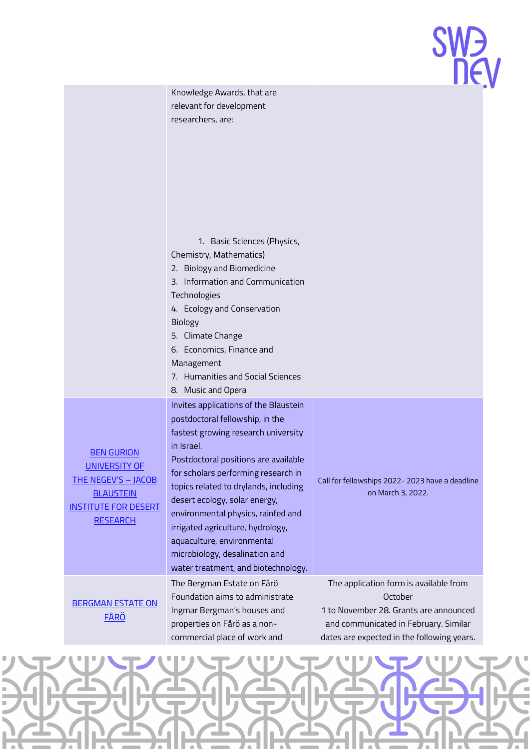

Knowledge Awards, that are relevant for development researchers, are:

1. Basic Sciences (Physics,

Chemistry, Mathematics)

- 2. Biology and Biomedicine
- 3. Information and Communication
- Technologies
- 4. Ecology and Conservation Biology
- 5. Climate Change
- 6. Economics, Finance and Management
- 7. Humanities and Social Sciences
- 8. Music and Opera

Invites applications of the Blaustein postdoctoral fellowship, in the fastest growing research university in Israel.

BEN [GURION](https://in.bgu.ac.il/en/bidr/BCSC/Pages/fellowships.aspx)  [UNIVERSITY](https://in.bgu.ac.il/en/bidr/BCSC/Pages/fellowships.aspx) OF THE [NEGEV'S](https://in.bgu.ac.il/en/bidr/BCSC/Pages/fellowships.aspx) – JACOB **BLAUSTEIN** INSTITUTE [FOR DESERT](https://in.bgu.ac.il/en/bidr/BCSC/Pages/fellowships.aspx)  **[RESEARCH](https://in.bgu.ac.il/en/bidr/BCSC/Pages/fellowships.aspx)** 

[BERGMAN ESTATE](https://bergmangardarna.se/application/) ON [FÅRÖ](https://bergmangardarna.se/application/)

Postdoctoral positions are available for scholars performing research in topics related to drylands, including desert ecology, solar energy, environmental physics, rainfed and irrigated agriculture, hydrology, aquaculture, environmental microbiology, desalination and water treatment, and biotechnology. The Bergman Estate on Fårö Foundation aims to administrate Ingmar Bergman's houses and properties on Fårö as a noncommercial place of work and

Call for fellowships 2022- 2023 have a deadline on March 3, 2022.

The application form is available from **October** 1 to November 28. Grants are announced and communicated in February. Similar dates are expected in the following years.

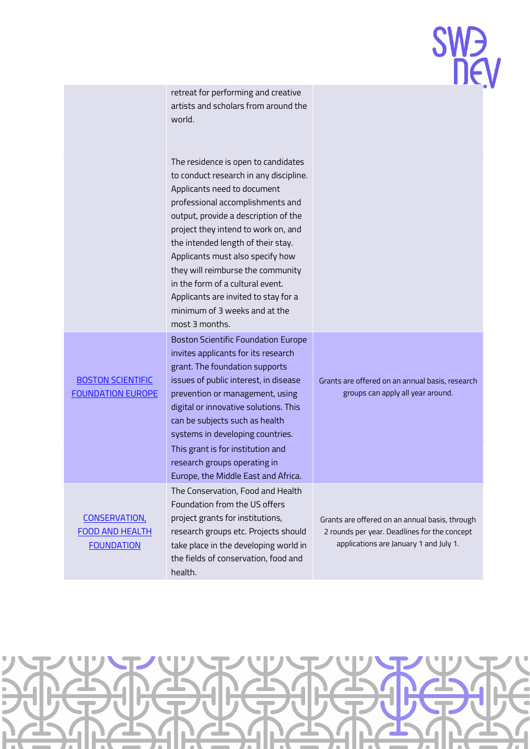## 

retreat for performing and creative artists and scholars from around the world.

The residence is open to candidates to conduct research in any discipline. Applicants need to document professional accomplishments and output, provide a description of the project they intend to work on, and the intended length of their stay. Applicants must also specify how they will reimburse the community in the form of a cultural event. Applicants are invited to stay for a minimum of 3 weeks and at the most 3 months. Boston Scientific Foundation Europe invites applicants for its research grant. The foundation supports issues of public interest, in disease

prevention or management, using digital or innovative solutions. This can be subjects such as health systems in developing countries.

This grant is for institution and research groups operating in

Europe, the Middle East and Africa.

The Conservation, Food and Health Foundation from the US offers project grants for institutions,

research groups etc. Projects should take place in the developing world in the fields of conservation, food and

health.

[BOSTON SCIENTIFIC](https://www.bostonscientific.com/en-EU/about-us/corporate-social-responsibility/practices/foundation/criteria-guidelines.html)  [FOUNDATION EUROPE](https://www.bostonscientific.com/en-EU/about-us/corporate-social-responsibility/practices/foundation/criteria-guidelines.html)

[CONSERVATION,](https://cfhfoundation.grantsmanagement08.com/)  FOOD [AND HEALTH](https://cfhfoundation.grantsmanagement08.com/)  [FOUNDATION](https://cfhfoundation.grantsmanagement08.com/)

Grants are offered on an annual basis, research groups can apply all year around.

Grants are offered on an annual basis, through 2 rounds per year. Deadlines for the concept applications are January 1 and July 1.

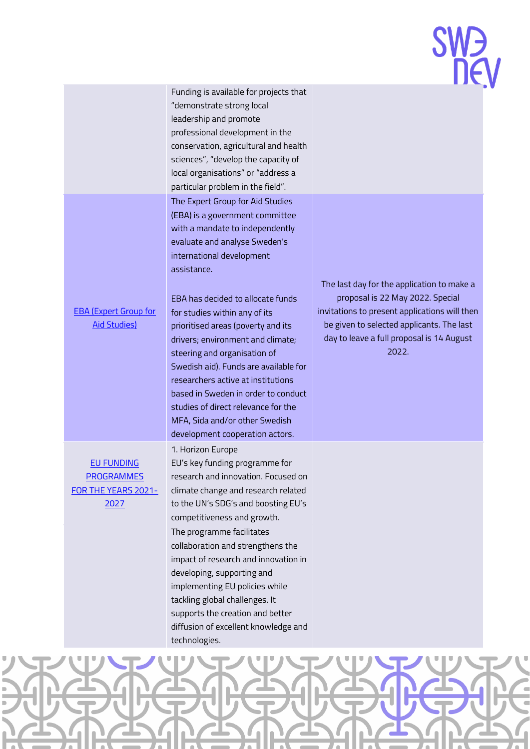Funding is available for projects that "demonstrate strong local leadership and promote professional development in the conservation, agricultural and health sciences", "develop the capacity of local organisations" or "address a particular problem in the field". The Expert Group for Aid Studies (EBA) is a government committee with a mandate to independently evaluate and analyse Sweden's international development assistance.

### [EBA \(Expert Group for](https://eba.se/en/current/call-for-researcher-initiated-proposals-2/)  [Aid Studies\)](https://eba.se/en/current/call-for-researcher-initiated-proposals-2/)

EU [FUNDING](http://https/ec.europa.eu/info/funding-tenders/find-funding/eu-funding-programmes_en#heading-3-natural-resources-amp-environment)  [PROGRAMMES](http://https/ec.europa.eu/info/funding-tenders/find-funding/eu-funding-programmes_en#heading-3-natural-resources-amp-environment)  FOR THE [YEARS 2021-](http://https/ec.europa.eu/info/funding-tenders/find-funding/eu-funding-programmes_en#heading-3-natural-resources-amp-environment) [2027](http://https/ec.europa.eu/info/funding-tenders/find-funding/eu-funding-programmes_en#heading-3-natural-resources-amp-environment)

EBA has decided to allocate funds for studies within any of its prioritised areas (poverty and its drivers; environment and climate; steering and organisation of Swedish aid). Funds are available for researchers active at institutions based in Sweden in order to conduct studies of direct relevance for the MFA, Sida and/or other Swedish development cooperation actors. 1. Horizon Europe

EU's key funding programme for research and innovation. Focused on climate change and research related to the UN's SDG's and boosting EU's competitiveness and growth. The programme facilitates collaboration and strengthens the impact of research and innovation in developing, supporting and implementing EU policies while tackling global challenges. It supports the creation and better diffusion of excellent knowledge and technologies.

The last day for the application to make a proposal is 22 May 2022. Special invitations to present applications will then be given to selected applicants. The last day to leave a full proposal is 14 August 2022.

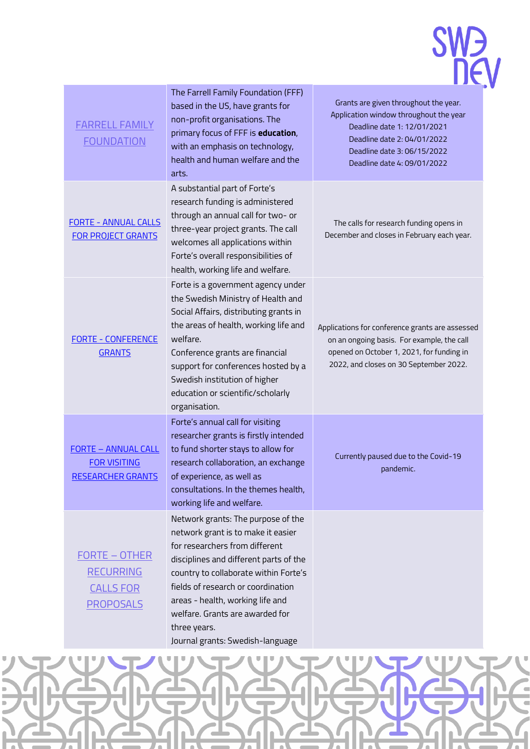### **SWA**<br> **new**

| <b>FARRELL FAMILY</b><br><b>FOUNDATION</b>                                       | The Farrell Family Foundation (FFF)<br>based in the US, have grants for<br>non-profit organisations. The<br>primary focus of FFF is education,<br>with an emphasis on technology,<br>health and human welfare and the<br>arts.                                                                                                                                 | Grants are given throughout the year.<br>Application window throughout the year<br>Deadline date 1: 12/01/2021<br>Deadline date 2: 04/01/2022<br>Deadline date 3: 06/15/2022<br>Deadline date 4: 09/01/2022 |  |
|----------------------------------------------------------------------------------|----------------------------------------------------------------------------------------------------------------------------------------------------------------------------------------------------------------------------------------------------------------------------------------------------------------------------------------------------------------|-------------------------------------------------------------------------------------------------------------------------------------------------------------------------------------------------------------|--|
| <b>FORTE - ANNUAL CALLS</b><br><b>FOR PROJECT GRANTS</b>                         | A substantial part of Forte's<br>research funding is administered<br>through an annual call for two- or<br>three-year project grants. The call<br>welcomes all applications within<br>Forte's overall responsibilities of<br>health, working life and welfare.                                                                                                 | The calls for research funding opens in<br>December and closes in February each year.                                                                                                                       |  |
| <b>FORTE - CONFERENCE</b><br><b>GRANTS</b>                                       | Forte is a government agency under<br>the Swedish Ministry of Health and<br>Social Affairs, distributing grants in<br>the areas of health, working life and<br>welfare.<br>Conference grants are financial<br>support for conferences hosted by a<br>Swedish institution of higher<br>education or scientific/scholarly<br>organisation.                       | Applications for conference grants are assessed<br>on an ongoing basis. For example, the call<br>opened on October 1, 2021, for funding in<br>2022, and closes on 30 September 2022.                        |  |
| <b>FORTE - ANNUAL CALL</b><br><b>FOR VISITING</b><br><b>RESEARCHER GRANTS</b>    | Forte's annual call for visiting<br>researcher grants is firstly intended<br>to fund shorter stays to allow for<br>research collaboration, an exchange<br>of experience, as well as<br>consultations. In the themes health,<br>working life and welfare.                                                                                                       | Currently paused due to the Covid-19<br>pandemic.                                                                                                                                                           |  |
| <b>FORTE - OTHER</b><br><b>RECURRING</b><br><b>CALLS FOR</b><br><b>PROPOSALS</b> | Network grants: The purpose of the<br>network grant is to make it easier<br>for researchers from different<br>disciplines and different parts of the<br>country to collaborate within Forte's<br>fields of research or coordination<br>areas - health, working life and<br>welfare. Grants are awarded for<br>three years.<br>Journal grants: Swedish-Janguage |                                                                                                                                                                                                             |  |

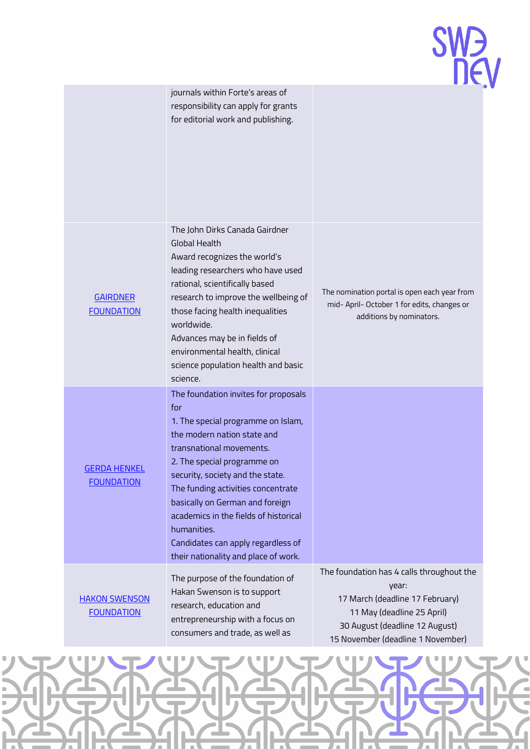

|                                           | journals within Forte's areas of<br>responsibility can apply for grants<br>for editorial work and publishing.                                                                                                                                                                                                                                                                                                                  |                                                                                                                                                                                            |
|-------------------------------------------|--------------------------------------------------------------------------------------------------------------------------------------------------------------------------------------------------------------------------------------------------------------------------------------------------------------------------------------------------------------------------------------------------------------------------------|--------------------------------------------------------------------------------------------------------------------------------------------------------------------------------------------|
| <b>GAIRDNER</b><br><b>FOUNDATION</b>      | The John Dirks Canada Gairdner<br><b>Global Health</b><br>Award recognizes the world's<br>leading researchers who have used<br>rational, scientifically based<br>research to improve the wellbeing of<br>those facing health inequalities<br>worldwide.<br>Advances may be in fields of<br>environmental health, clinical<br>science population health and basic<br>science.                                                   | The nomination portal is open each year from<br>mid- April- October 1 for edits, changes or<br>additions by nominators.                                                                    |
| <b>GERDA HENKEL</b><br><b>FOUNDATION</b>  | The foundation invites for proposals<br>for<br>1. The special programme on Islam,<br>the modern nation state and<br>transnational movements.<br>2. The special programme on<br>security, society and the state.<br>The funding activities concentrate<br>basically on German and foreign<br>academics in the fields of historical<br>humanities.<br>Candidates can apply regardless of<br>their nationality and place of work. |                                                                                                                                                                                            |
| <b>HAKON SWENSON</b><br><b>FOUNDATION</b> | The purpose of the foundation of<br>Hakan Swenson is to support<br>research, education and<br>entrepreneurship with a focus on<br>consumers and trade, as well as                                                                                                                                                                                                                                                              | The foundation has 4 calls throughout the<br>year:<br>17 March (deadline 17 February)<br>11 May (deadline 25 April)<br>30 August (deadline 12 August)<br>15 November (deadline 1 November) |

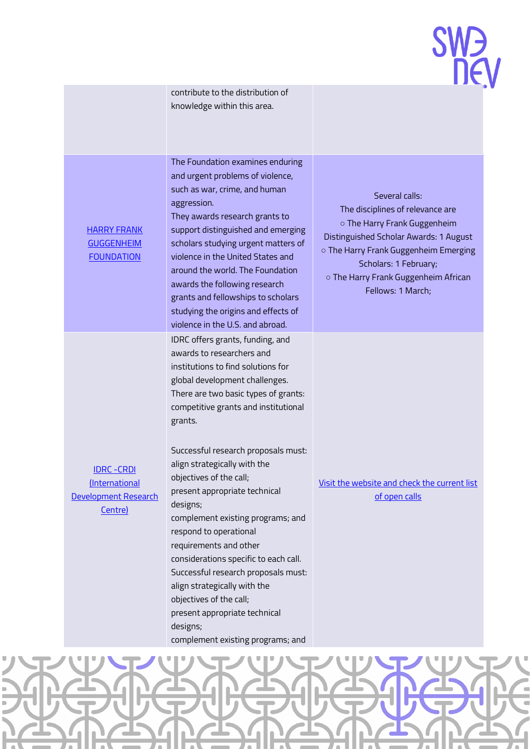

| <b>HARRY FRANK</b><br><b>GUGGENHEIM</b><br><b>FOUNDATION</b>            | The Foundation examines enduring<br>and urgent problems of violence,<br>such as war, crime, and human<br>aggression.<br>They awards research grants to<br>support distinguished and emerging<br>scholars studying urgent matters of<br>violence in the United States and<br>around the world. The Foundation<br>awards the following research<br>grants and fellowships to scholars<br>studying the origins and effects of<br>violence in the U.S. and abroad.                                                                                                                                                                                       | Several calls:<br>The disciplines of relevance are<br>o The Harry Frank Guggenheim<br>Distinguished Scholar Awards: 1 August<br>o The Harry Frank Guggenheim Emerging<br>Scholars: 1 February;<br>o The Harry Frank Guggenheim African<br>Fellows: 1 March; |
|-------------------------------------------------------------------------|------------------------------------------------------------------------------------------------------------------------------------------------------------------------------------------------------------------------------------------------------------------------------------------------------------------------------------------------------------------------------------------------------------------------------------------------------------------------------------------------------------------------------------------------------------------------------------------------------------------------------------------------------|-------------------------------------------------------------------------------------------------------------------------------------------------------------------------------------------------------------------------------------------------------------|
| <b>IDRC - CRDI</b><br>(International<br>Development Research<br>Centre) | IDRC offers grants, funding, and<br>awards to researchers and<br>institutions to find solutions for<br>global development challenges.<br>There are two basic types of grants:<br>competitive grants and institutional<br>grants.<br>Successful research proposals must:<br>align strategically with the<br>objectives of the call;<br>present appropriate technical<br>designs;<br>complement existing programs; and<br>respond to operational<br>requirements and other<br>considerations specific to each call.<br>Successful research proposals must:<br>align strategically with the<br>objectives of the call;<br>present appropriate technical | Visit the website and check the current list<br>of open calls                                                                                                                                                                                               |

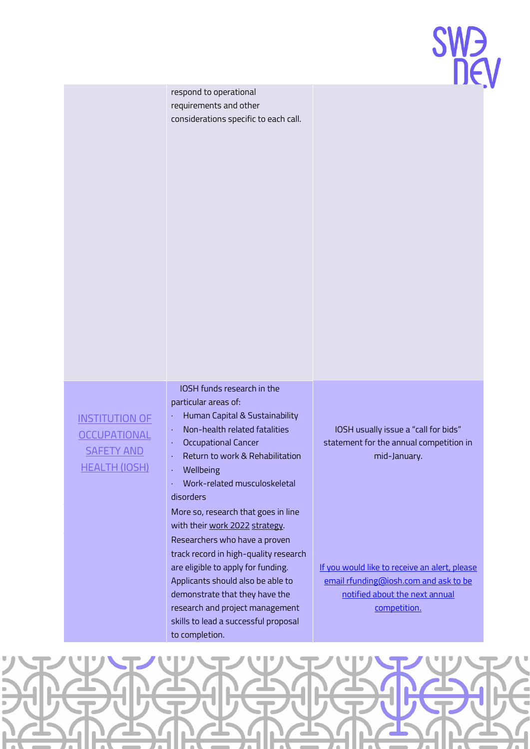| <b>SW<sub>D</sub></b> |  |     |
|-----------------------|--|-----|
|                       |  | DEV |

|                                                                                           | respond to operational<br>requirements and other<br>considerations specific to each call.                                                                                                                                                                                                                                                                                                                                                                                                                                                                                                                                                                                      |                                                                                                                                                                                                                                             |  |
|-------------------------------------------------------------------------------------------|--------------------------------------------------------------------------------------------------------------------------------------------------------------------------------------------------------------------------------------------------------------------------------------------------------------------------------------------------------------------------------------------------------------------------------------------------------------------------------------------------------------------------------------------------------------------------------------------------------------------------------------------------------------------------------|---------------------------------------------------------------------------------------------------------------------------------------------------------------------------------------------------------------------------------------------|--|
| <b>INSTITUTION OF</b><br><b>OCCUPATIONAL</b><br><b>SAFETY AND</b><br><b>HEALTH (IOSH)</b> | IOSH funds research in the<br>particular areas of:<br>Human Capital & Sustainability<br>Non-health related fatalities<br>$\epsilon$<br><b>Occupational Cancer</b><br>$\bullet$<br>Return to work & Rehabilitation<br>×,<br>Wellbeing<br>$\blacksquare$<br>Work-related musculoskeletal<br>$\epsilon$<br>disorders<br>More so, research that goes in line<br>with their work 2022 strategy.<br>Researchers who have a proven<br>track record in high-quality research<br>are eligible to apply for funding.<br>Applicants should also be able to<br>demonstrate that they have the<br>research and project management<br>skills to lead a successful proposal<br>to completion. | IOSH usually issue a "call for bids"<br>statement for the annual competition in<br>mid-January.<br>If you would like to receive an alert, please<br>email rfunding@iosh.com and ask to be<br>notified about the next annual<br>competition. |  |

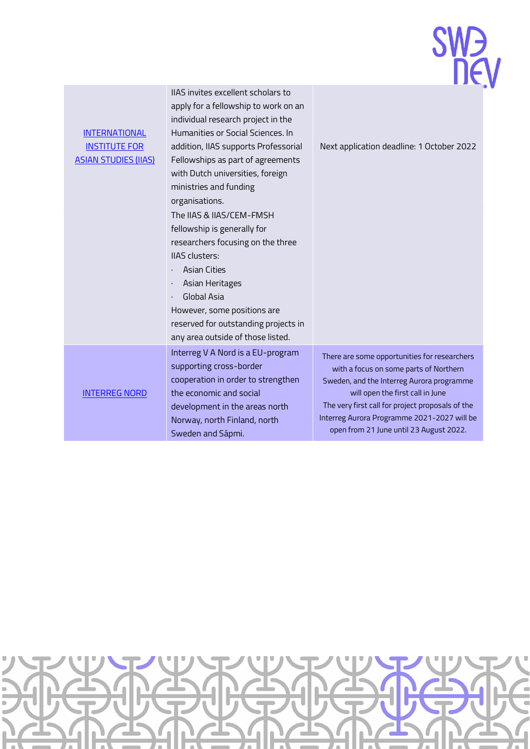| <b>INTERNATIONAL</b><br><b>INSTITUTE FOR</b><br><b>ASIAN STUDIES (IIAS)</b> | lia3 liivites excellerit scriulais tu<br>apply for a fellowship to work on an<br>individual research project in the<br>Humanities or Social Sciences, In<br>addition, IIAS supports Professorial<br>Fellowships as part of agreements<br>with Dutch universities, foreign<br>ministries and funding<br>organisations.<br>The IIAS & IIAS/CEM-FMSH<br>fellowship is generally for<br>researchers focusing on the three<br>IIAS clusters:<br><b>Asian Cities</b><br>Asian Heritages<br>Global Asia | Next application deadline: 1 October 2022                                                                                                                                                                                                                                                                             |
|-----------------------------------------------------------------------------|--------------------------------------------------------------------------------------------------------------------------------------------------------------------------------------------------------------------------------------------------------------------------------------------------------------------------------------------------------------------------------------------------------------------------------------------------------------------------------------------------|-----------------------------------------------------------------------------------------------------------------------------------------------------------------------------------------------------------------------------------------------------------------------------------------------------------------------|
|                                                                             | However, some positions are<br>reserved for outstanding projects in<br>any area outside of those listed.                                                                                                                                                                                                                                                                                                                                                                                         |                                                                                                                                                                                                                                                                                                                       |
| <b>INTERREG NORD</b>                                                        | Interreg V A Nord is a EU-program<br>supporting cross-border<br>cooperation in order to strengthen<br>the economic and social<br>development in the areas north<br>Norway, north Finland, north<br>Sweden and Sápmi.                                                                                                                                                                                                                                                                             | There are some opportunities for researchers<br>with a focus on some parts of Northern<br>Sweden, and the Interreg Aurora programme<br>will open the first call in June<br>The very first call for project proposals of the<br>Interreg Aurora Programme 2021-2027 will be<br>open from 21 June until 23 August 2022. |

 $\overline{110}$  C in the second least selects

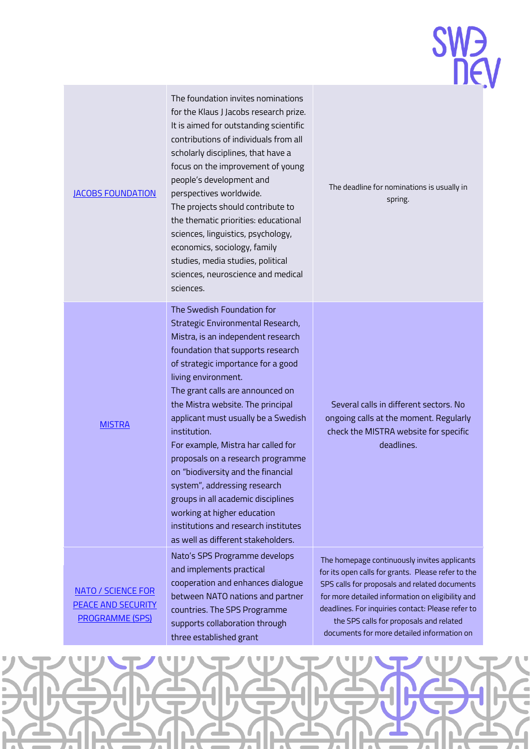| <b>JACOBS FOUNDATION</b>                                                         | The foundation invites nominations<br>for the Klaus J Jacobs research prize.<br>It is aimed for outstanding scientific<br>contributions of individuals from all<br>scholarly disciplines, that have a<br>focus on the improvement of young<br>people's development and<br>perspectives worldwide.<br>The projects should contribute to<br>the thematic priorities: educational<br>sciences, linguistics, psychology,<br>economics, sociology, family<br>studies, media studies, political<br>sciences, neuroscience and medical<br>sciences.                                                                                                | The deadline for nominations is usually in<br>spring.                                                                                                                                                                                                                                                                                                 |
|----------------------------------------------------------------------------------|---------------------------------------------------------------------------------------------------------------------------------------------------------------------------------------------------------------------------------------------------------------------------------------------------------------------------------------------------------------------------------------------------------------------------------------------------------------------------------------------------------------------------------------------------------------------------------------------------------------------------------------------|-------------------------------------------------------------------------------------------------------------------------------------------------------------------------------------------------------------------------------------------------------------------------------------------------------------------------------------------------------|
| <b>MISTRA</b>                                                                    | The Swedish Foundation for<br>Strategic Environmental Research,<br>Mistra, is an independent research<br>foundation that supports research<br>of strategic importance for a good<br>living environment.<br>The grant calls are announced on<br>the Mistra website. The principal<br>applicant must usually be a Swedish<br>institution.<br>For example, Mistra har called for<br>proposals on a research programme<br>on "biodiversity and the financial<br>system", addressing research<br>groups in all academic disciplines<br>working at higher education<br>institutions and research institutes<br>as well as different stakeholders. | Several calls in different sectors. No<br>ongoing calls at the moment. Regularly<br>check the MISTRA website for specific<br>deadlines.                                                                                                                                                                                                               |
| <b>NATO / SCIENCE FOR</b><br><b>PEACE AND SECURITY</b><br><b>PROGRAMME (SPS)</b> | Nato's SPS Programme develops<br>and implements practical<br>cooperation and enhances dialogue<br>between NATO nations and partner<br>countries. The SPS Programme<br>supports collaboration through<br>three established grant                                                                                                                                                                                                                                                                                                                                                                                                             | The homepage continuously invites applicants<br>for its open calls for grants. Please refer to the<br>SPS calls for proposals and related documents<br>for more detailed information on eligibility and<br>deadlines. For inquiries contact: Please refer to<br>the SPS calls for proposals and related<br>documents for more detailed information on |

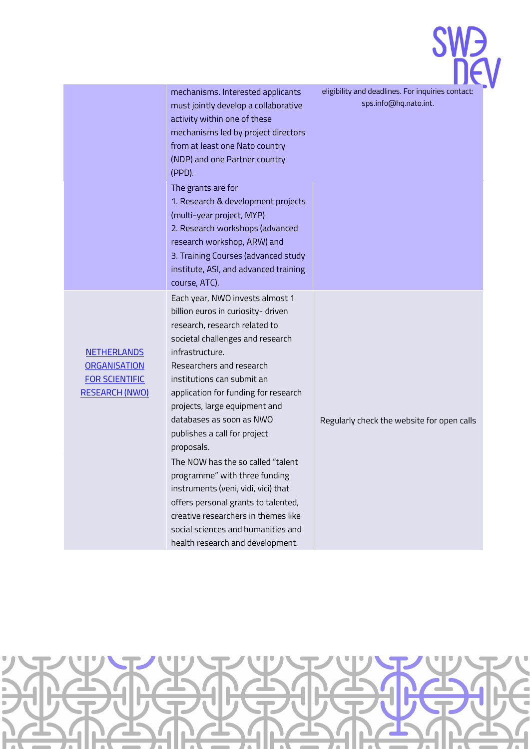|                                                                                             |                                                                                                                                                                                                                                                                                                                                                                                                                                                                                                                                                                                                                                                 | <b>SWZ</b>                                                                 |
|---------------------------------------------------------------------------------------------|-------------------------------------------------------------------------------------------------------------------------------------------------------------------------------------------------------------------------------------------------------------------------------------------------------------------------------------------------------------------------------------------------------------------------------------------------------------------------------------------------------------------------------------------------------------------------------------------------------------------------------------------------|----------------------------------------------------------------------------|
|                                                                                             | mechanisms. Interested applicants<br>must jointly develop a collaborative<br>activity within one of these<br>mechanisms led by project directors<br>from at least one Nato country<br>(NDP) and one Partner country<br>(PPD).<br>The grants are for<br>1. Research & development projects<br>(multi-year project, MYP)<br>2. Research workshops (advanced<br>research workshop, ARW) and<br>3. Training Courses (advanced study<br>institute, ASI, and advanced training<br>course, ATC).                                                                                                                                                       | eligibility and deadlines. For inquiries contact:<br>sps.info@hq.nato.int. |
| <b>NETHERLANDS</b><br><b>ORGANISATION</b><br><b>FOR SCIENTIFIC</b><br><b>RESEARCH (NWO)</b> | Each year, NWO invests almost 1<br>billion euros in curiosity- driven<br>research, research related to<br>societal challenges and research<br>infrastructure.<br>Researchers and research<br>institutions can submit an<br>application for funding for research<br>projects, large equipment and<br>databases as soon as NWO<br>publishes a call for project<br>proposals.<br>The NOW has the so called "talent<br>programme" with three funding<br>instruments (veni, vidi, vici) that<br>offers personal grants to talented,<br>creative researchers in themes like<br>social sciences and humanities and<br>health research and development. | Regularly check the website for open calls                                 |

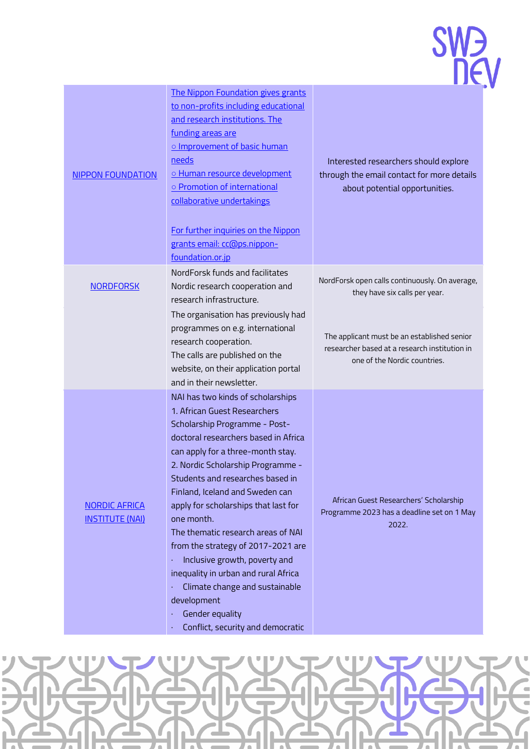

| <b>NIPPON FOUNDATION</b>                       | The Nippon Foundation gives grants<br>to non-profits including educational<br>and research institutions. The<br>funding areas are<br>o Improvement of basic human<br><u>needs</u><br>o Human resource development<br>o Promotion of international<br>collaborative undertakings<br>For further inquiries on the Nippon<br>grants email: cc@ps.nippon-<br>foundation.or.jp                                                                                                                                                                                                                                       | Interested researchers should explore<br>through the email contact for more details<br>about potential opportunities.        |
|------------------------------------------------|-----------------------------------------------------------------------------------------------------------------------------------------------------------------------------------------------------------------------------------------------------------------------------------------------------------------------------------------------------------------------------------------------------------------------------------------------------------------------------------------------------------------------------------------------------------------------------------------------------------------|------------------------------------------------------------------------------------------------------------------------------|
| <b>NORDFORSK</b>                               | NordForsk funds and facilitates<br>Nordic research cooperation and<br>research infrastructure.                                                                                                                                                                                                                                                                                                                                                                                                                                                                                                                  | NordForsk open calls continuously. On average,<br>they have six calls per year.                                              |
|                                                | The organisation has previously had<br>programmes on e.g. international<br>research cooperation.<br>The calls are published on the<br>website, on their application portal<br>and in their newsletter.                                                                                                                                                                                                                                                                                                                                                                                                          | The applicant must be an established senior<br>researcher based at a research institution in<br>one of the Nordic countries. |
| <b>NORDIC AFRICA</b><br><b>INSTITUTE (NAI)</b> | NAI has two kinds of scholarships<br>1. African Guest Researchers<br>Scholarship Programme - Post-<br>doctoral researchers based in Africa<br>can apply for a three-month stay.<br>2. Nordic Scholarship Programme -<br>Students and researches based in<br>Finland, Iceland and Sweden can<br>apply for scholarships that last for<br>one month.<br>The thematic research areas of NAI<br>from the strategy of 2017-2021 are<br>Inclusive growth, poverty and<br>inequality in urban and rural Africa<br>Climate change and sustainable<br>development<br>Gender equality<br>Conflict, security and democratic | African Guest Researchers' Scholarship<br>Programme 2023 has a deadline set on 1 May<br>2022.                                |

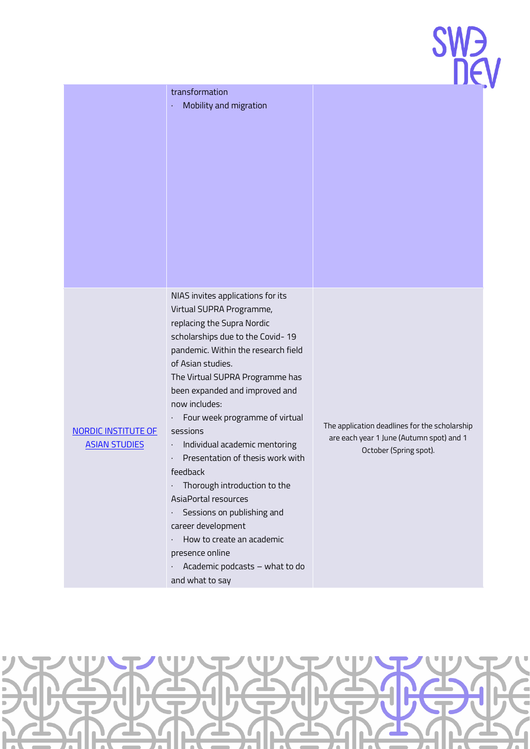

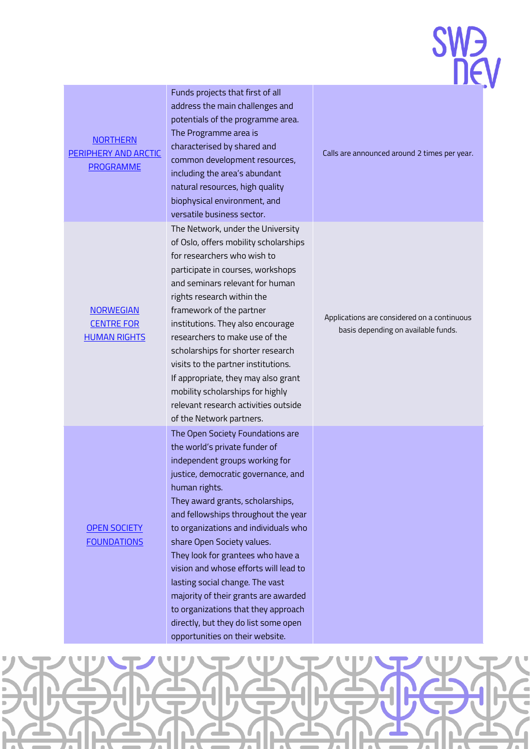| <b>NORTHERN</b><br>PERIPHERY AND ARCTIC<br><b>PROGRAMME</b>  | Funds projects that first of all<br>address the main challenges and<br>potentials of the programme area.<br>The Programme area is<br>characterised by shared and<br>common development resources,<br>including the area's abundant<br>natural resources, high quality<br>biophysical environment, and<br>versatile business sector.                                                                                                                                                                                                                                                     | Calls are announced around 2 times per year.                                       |
|--------------------------------------------------------------|-----------------------------------------------------------------------------------------------------------------------------------------------------------------------------------------------------------------------------------------------------------------------------------------------------------------------------------------------------------------------------------------------------------------------------------------------------------------------------------------------------------------------------------------------------------------------------------------|------------------------------------------------------------------------------------|
| <b>NORWEGIAN</b><br><b>CENTRE FOR</b><br><b>HUMAN RIGHTS</b> | The Network, under the University<br>of Oslo, offers mobility scholarships<br>for researchers who wish to<br>participate in courses, workshops<br>and seminars relevant for human<br>rights research within the<br>framework of the partner<br>institutions. They also encourage<br>researchers to make use of the<br>scholarships for shorter research<br>visits to the partner institutions.<br>If appropriate, they may also grant<br>mobility scholarships for highly<br>relevant research activities outside<br>of the Network partners.                                           | Applications are considered on a continuous<br>basis depending on available funds. |
| <b>OPEN SOCIETY</b><br><b>FOUNDATIONS</b>                    | The Open Society Foundations are<br>the world's private funder of<br>independent groups working for<br>justice, democratic governance, and<br>human rights.<br>They award grants, scholarships,<br>and fellowships throughout the year<br>to organizations and individuals who<br>share Open Society values.<br>They look for grantees who have a<br>vision and whose efforts will lead to<br>lasting social change. The vast<br>majority of their grants are awarded<br>to organizations that they approach<br>directly, but they do list some open<br>opportunities on their website. |                                                                                    |

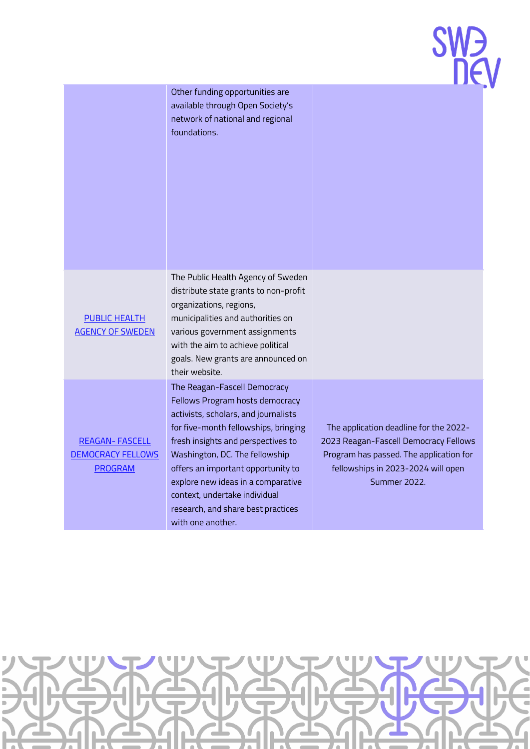| <b>SW<sub>D</sub></b> |
|-----------------------|
| DEV                   |

|                                                                     | Other funding opportunities are<br>available through Open Society's<br>network of national and regional<br>foundations.                                                                                                                                                                                                                                                                         |                                                                                                                                                                                  |
|---------------------------------------------------------------------|-------------------------------------------------------------------------------------------------------------------------------------------------------------------------------------------------------------------------------------------------------------------------------------------------------------------------------------------------------------------------------------------------|----------------------------------------------------------------------------------------------------------------------------------------------------------------------------------|
| <b>PUBLIC HEALTH</b><br><b>AGENCY OF SWEDEN</b>                     | The Public Health Agency of Sweden<br>distribute state grants to non-profit<br>organizations, regions,<br>municipalities and authorities on<br>various government assignments<br>with the aim to achieve political<br>goals. New grants are announced on<br>their website.                                                                                                                      |                                                                                                                                                                                  |
| <b>REAGAN-FASCELL</b><br><b>DEMOCRACY FELLOWS</b><br><b>PROGRAM</b> | The Reagan-Fascell Democracy<br>Fellows Program hosts democracy<br>activists, scholars, and journalists<br>for five-month fellowships, bringing<br>fresh insights and perspectives to<br>Washington, DC. The fellowship<br>offers an important opportunity to<br>explore new ideas in a comparative<br>context, undertake individual<br>research, and share best practices<br>with one another. | The application deadline for the 2022-<br>2023 Reagan-Fascell Democracy Fellows<br>Program has passed. The application for<br>fellowships in 2023-2024 will open<br>Summer 2022. |

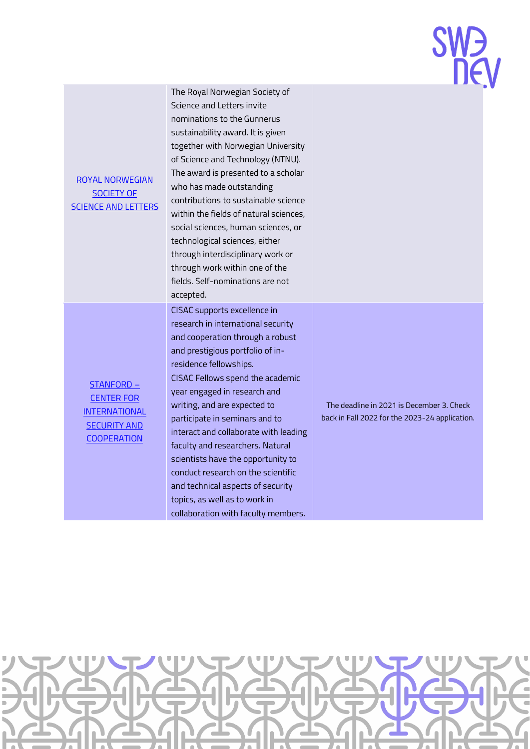[ROYAL NORWEGIAN](https://www.dknvs.no/gunnerus-award/the-gunnerus-sustainability-award/?lang=en)  [SOCIETY](https://www.dknvs.no/gunnerus-award/the-gunnerus-sustainability-award/?lang=en) OF SCIENCE [AND LETTERS](https://www.dknvs.no/gunnerus-award/the-gunnerus-sustainability-award/?lang=en) nominations to the Gunnerus sustainability award. It is given together with Norwegian University of Science and Technology (NTNU). The award is presented to a scholar who has made outstanding contributions to sustainable science within the fields of natural sciences, social sciences, human sciences, or technological sciences, either through interdisciplinary work or through work within one of the fields. Self-nominations are not accepted. [STANFORD](https://cisac.fsi.stanford.edu/cisac-fellowships) – [CENTER](https://cisac.fsi.stanford.edu/cisac-fellowships) FOR **INTERNATIONAL** [SECURITY](https://cisac.fsi.stanford.edu/cisac-fellowships) AND **[COOPERATION](https://cisac.fsi.stanford.edu/cisac-fellowships)** CISAC supports excellence in research in international security and cooperation through a robust and prestigious portfolio of inresidence fellowships. CISAC Fellows spend the academic year engaged in research and writing, and are expected to participate in seminars and to interact and collaborate with leading faculty and researchers. Natural scientists have the opportunity to conduct research on the scientific

The Royal Norwegian Society of Science and Letters invite

> The deadline in 2021 is December 3. Check back in Fall 2022 for the 2023-24 application.



and technical aspects of security topics, as well as to work in

collaboration with faculty members.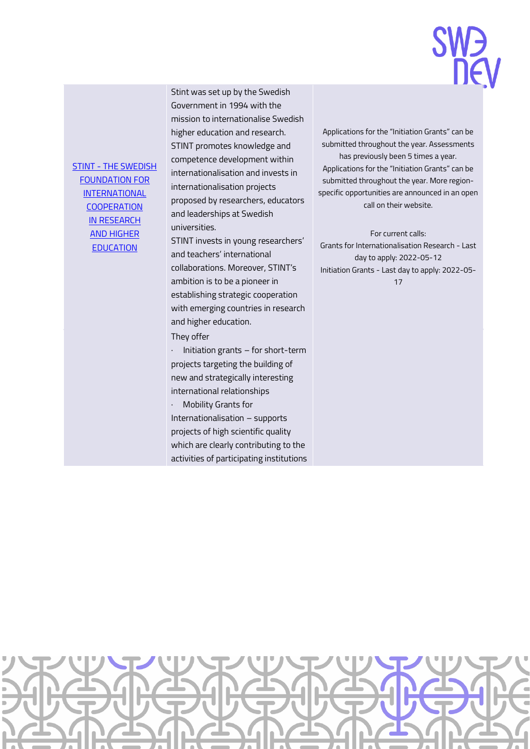### **SW<sub>D</sub>**

STINT - [THE SWEDISH](https://www.stint.se/en/)  [FOUNDATION FOR](https://www.stint.se/en/)  **INTERNATIONAL COOPERATION** IN [RESEARCH](https://www.stint.se/en/)  AND [HIGHER](https://www.stint.se/en/)  **[EDUCATION](https://www.stint.se/en/)** 

Stint was set up by the Swedish Government in 1994 with the mission to internationalise Swedish higher education and research. STINT promotes knowledge and competence development within internationalisation and invests in internationalisation projects proposed by researchers, educators and leaderships at Swedish universities.

STINT invests in young researchers' and teachers' international collaborations. Moreover, STINT's ambition is to be a pioneer in establishing strategic cooperation with emerging countries in research and higher education.

They offer

· Initiation grants – for short-term projects targeting the building of new and strategically interesting international relationships

Mobility Grants for Internationalisation – supports projects of high scientific quality which are clearly contributing to the activities of participating institutions

Applications for the "Initiation Grants" can be submitted throughout the year. Assessments has previously been 5 times a year. Applications for the "Initiation Grants" can be submitted throughout the year. More regionspecific opportunities are announced in an open call on their website.

For current calls: Grants for Internationalisation Research - Last day to apply: 2022-05-12 Initiation Grants - Last day to apply: 2022-05- 17

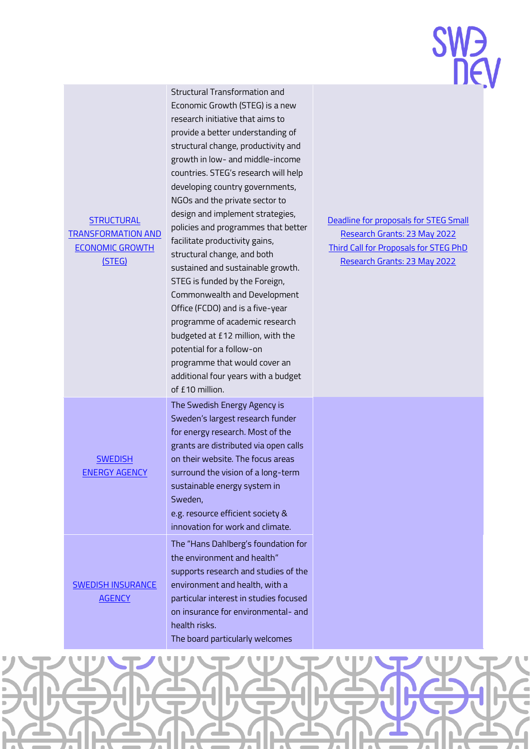| <b>SW<sub>D</sub></b> |     |
|-----------------------|-----|
|                       | DEV |

| <b>STRUCTURAL</b><br><b>TRANSFORMATION AND</b><br><b>ECONOMIC GROWTH</b><br>(STEG) | Structural Transformation and<br>Economic Growth (STEG) is a new<br>research initiative that aims to<br>provide a better understanding of<br>structural change, productivity and<br>growth in low- and middle-income<br>countries. STEG's research will help<br>developing country governments,<br>NGOs and the private sector to<br>design and implement strategies,<br>policies and programmes that better<br>facilitate productivity gains,<br>structural change, and both<br>sustained and sustainable growth.<br>STEG is funded by the Foreign,<br>Commonwealth and Development<br>Office (FCDO) and is a five-year<br>programme of academic research<br>budgeted at £12 million, with the<br>potential for a follow-on<br>programme that would cover an<br>additional four years with a budget<br>of £10 million. | Deadline for proposals for STEG Small<br>Research Grants: 23 May 2022<br><b>Third Call for Proposals for STEG PhD</b><br>Research Grants: 23 May 2022 |
|------------------------------------------------------------------------------------|-------------------------------------------------------------------------------------------------------------------------------------------------------------------------------------------------------------------------------------------------------------------------------------------------------------------------------------------------------------------------------------------------------------------------------------------------------------------------------------------------------------------------------------------------------------------------------------------------------------------------------------------------------------------------------------------------------------------------------------------------------------------------------------------------------------------------|-------------------------------------------------------------------------------------------------------------------------------------------------------|
| <b>SWEDISH</b><br><b>ENERGY AGENCY</b>                                             | The Swedish Energy Agency is<br>Sweden's largest research funder<br>for energy research. Most of the<br>grants are distributed via open calls<br>on their website. The focus areas<br>surround the vision of a long-term<br>sustainable energy system in<br>Sweden,<br>e.g. resource efficient society &<br>innovation for work and climate.                                                                                                                                                                                                                                                                                                                                                                                                                                                                            |                                                                                                                                                       |
| <b>SWEDISH INSURANCE</b><br><b>AGENCY</b>                                          | The "Hans Dahlberg's foundation for<br>the environment and health"<br>supports research and studies of the<br>environment and health, with a<br>particular interest in studies focused<br>on insurance for environmental- and<br>health risks.<br>The board particularly welcomes                                                                                                                                                                                                                                                                                                                                                                                                                                                                                                                                       |                                                                                                                                                       |

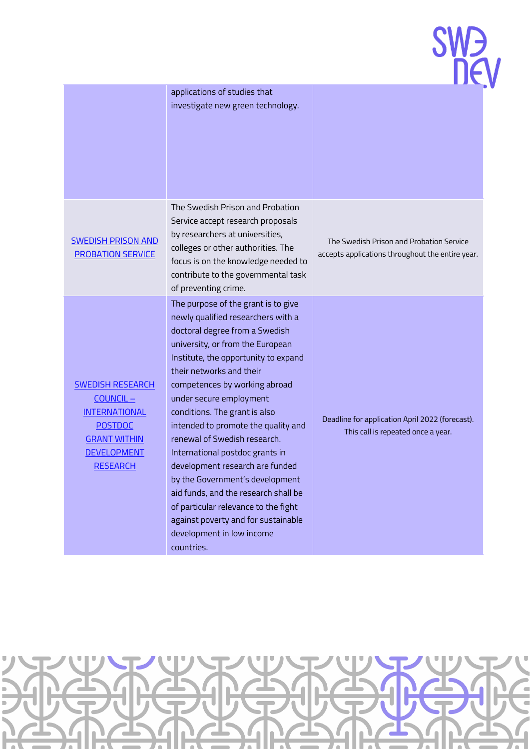| W. |              |
|----|--------------|
|    | $\mathsf{H}$ |

|                                                                                                                                               | applications of studies that<br>investigate new green technology.                                                                                                                                                                                                                                                                                                                                                                                                                                                                                                                                                                                                  |                                                                                              |
|-----------------------------------------------------------------------------------------------------------------------------------------------|--------------------------------------------------------------------------------------------------------------------------------------------------------------------------------------------------------------------------------------------------------------------------------------------------------------------------------------------------------------------------------------------------------------------------------------------------------------------------------------------------------------------------------------------------------------------------------------------------------------------------------------------------------------------|----------------------------------------------------------------------------------------------|
| <b>SWEDISH PRISON AND</b><br>PROBATION SERVICE                                                                                                | The Swedish Prison and Probation<br>Service accept research proposals<br>by researchers at universities,<br>colleges or other authorities. The<br>focus is on the knowledge needed to<br>contribute to the governmental task<br>of preventing crime.                                                                                                                                                                                                                                                                                                                                                                                                               | The Swedish Prison and Probation Service<br>accepts applications throughout the entire year. |
| <b>SWEDISH RESEARCH</b><br>COUNCIL-<br><b>INTERNATIONAL</b><br><b>POSTDOC</b><br><b>GRANT WITHIN</b><br><b>DEVELOPMENT</b><br><b>RESEARCH</b> | The purpose of the grant is to give<br>newly qualified researchers with a<br>doctoral degree from a Swedish<br>university, or from the European<br>Institute, the opportunity to expand<br>their networks and their<br>competences by working abroad<br>under secure employment<br>conditions. The grant is also<br>intended to promote the quality and<br>renewal of Swedish research.<br>International postdoc grants in<br>development research are funded<br>by the Government's development<br>aid funds, and the research shall be<br>of particular relevance to the fight<br>against poverty and for sustainable<br>development in low income<br>countries. | Deadline for application April 2022 (forecast).<br>This call is repeated once a year.        |

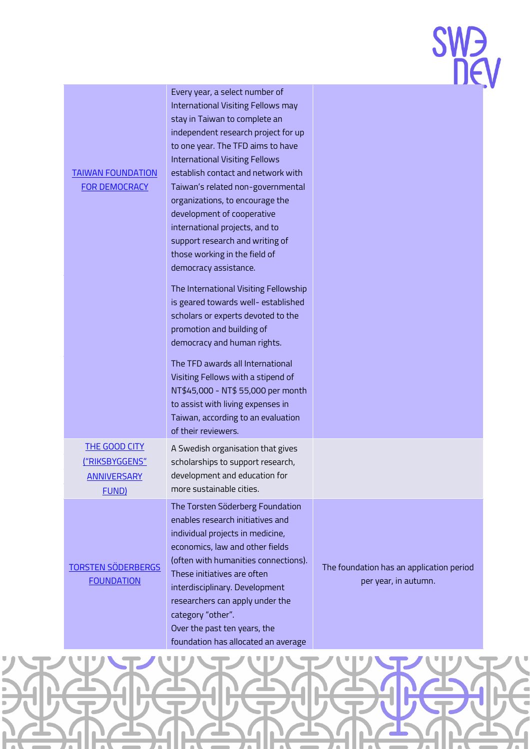| <b>SW<sub>D</sub></b> |     |
|-----------------------|-----|
|                       | DEV |

| <b>TAIWAN FOUNDATION</b><br><b>FOR DEMOCRACY</b>                                    | Every year, a select number of<br>International Visiting Fellows may<br>stay in Taiwan to complete an<br>independent research project for up<br>to one year. The TFD aims to have<br><b>International Visiting Fellows</b><br>establish contact and network with<br>Taiwan's related non-governmental<br>organizations, to encourage the<br>development of cooperative<br>international projects, and to<br>support research and writing of<br>those working in the field of<br>democracy assistance.<br>The International Visiting Fellowship<br>is geared towards well- established<br>scholars or experts devoted to the<br>promotion and building of<br>democracy and human rights.<br>The TFD awards all International<br>Visiting Fellows with a stipend of<br>NT\$45,000 - NT\$ 55,000 per month<br>to assist with living expenses in<br>Taiwan, according to an evaluation<br>of their reviewers. |                                                                  |
|-------------------------------------------------------------------------------------|-----------------------------------------------------------------------------------------------------------------------------------------------------------------------------------------------------------------------------------------------------------------------------------------------------------------------------------------------------------------------------------------------------------------------------------------------------------------------------------------------------------------------------------------------------------------------------------------------------------------------------------------------------------------------------------------------------------------------------------------------------------------------------------------------------------------------------------------------------------------------------------------------------------|------------------------------------------------------------------|
| <b>THE GOOD CITY</b><br><u>("RIKSBYGGENS"</u><br><b>ANNIVERSARY</b><br><b>FUND)</b> | A Swedish organisation that gives<br>scholarships to support research,<br>development and education for<br>more sustainable cities.                                                                                                                                                                                                                                                                                                                                                                                                                                                                                                                                                                                                                                                                                                                                                                       |                                                                  |
| <b>TORSTEN SÖDERBERGS</b><br><b>FOUNDATION</b>                                      | The Torsten Söderberg Foundation<br>enables research initiatives and<br>individual projects in medicine,<br>economics, law and other fields<br>(often with humanities connections).<br>These initiatives are often<br>interdisciplinary. Development<br>researchers can apply under the<br>category "other".<br>Over the past ten years, the<br>foundation has allocated an average                                                                                                                                                                                                                                                                                                                                                                                                                                                                                                                       | The foundation has an application period<br>per year, in autumn. |

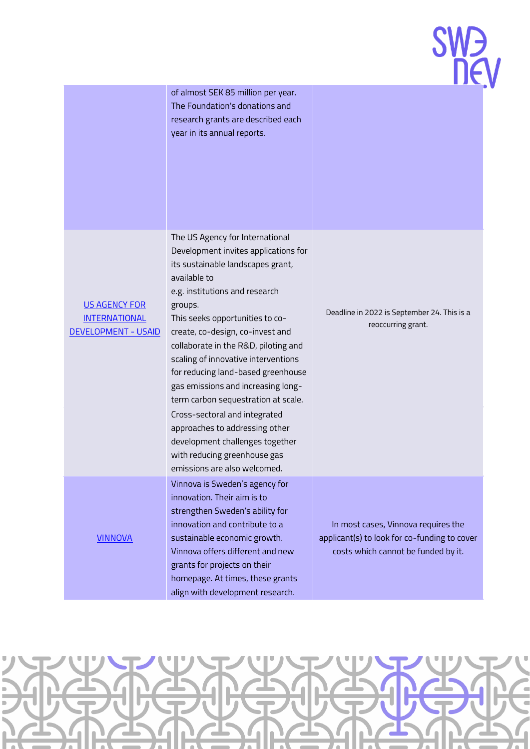|                                                                            | of almost SEK 85 million per year.<br>The Foundation's donations and<br>research grants are described each<br>year in its annual reports.                                                                                                                                                                                                                                                                                                                                                                                                                                                                                |                                                                                                                            |
|----------------------------------------------------------------------------|--------------------------------------------------------------------------------------------------------------------------------------------------------------------------------------------------------------------------------------------------------------------------------------------------------------------------------------------------------------------------------------------------------------------------------------------------------------------------------------------------------------------------------------------------------------------------------------------------------------------------|----------------------------------------------------------------------------------------------------------------------------|
| <b>US AGENCY FOR</b><br><b>INTERNATIONAL</b><br><b>DEVELOPMENT - USAID</b> | The US Agency for International<br>Development invites applications for<br>its sustainable landscapes grant,<br>available to<br>e.g. institutions and research<br>groups.<br>This seeks opportunities to co-<br>create, co-design, co-invest and<br>collaborate in the R&D, piloting and<br>scaling of innovative interventions<br>for reducing land-based greenhouse<br>gas emissions and increasing long-<br>term carbon sequestration at scale.<br>Cross-sectoral and integrated<br>approaches to addressing other<br>development challenges together<br>with reducing greenhouse gas<br>emissions are also welcomed. | Deadline in 2022 is September 24. This is a<br>reoccurring grant.                                                          |
| <b>VINNOVA</b>                                                             | Vinnova is Sweden's agency for<br>innovation. Their aim is to<br>strengthen Sweden's ability for<br>innovation and contribute to a<br>sustainable economic growth.<br>Vinnova offers different and new<br>grants for projects on their<br>homepage. At times, these grants<br>align with development research.                                                                                                                                                                                                                                                                                                           | In most cases, Vinnova requires the<br>applicant(s) to look for co-funding to cover<br>costs which cannot be funded by it. |

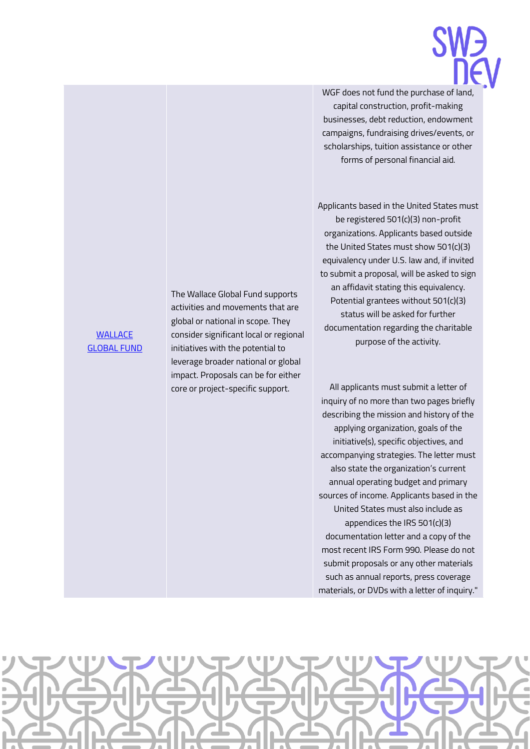

WGF does not fund the purchase of land, capital construction, profit-making businesses, debt reduction, endowment campaigns, fundraising drives/events, or scholarships, tuition assistance or other forms of personal financial aid.

Applicants based in the United States must be registered 501(c)(3) non-profit organizations. Applicants based outside the United States must show 501(c)(3) equivalency under U.S. law and, if invited to submit a proposal, will be asked to sign an affidavit stating this equivalency. Potential grantees without 501(c)(3) status will be asked for further documentation regarding the charitable purpose of the activity.

All applicants must submit a letter of inquiry of no more than two pages briefly describing the mission and history of the applying organization, goals of the initiative(s), specific objectives, and accompanying strategies. The letter must also state the organization's current annual operating budget and primary sources of income. Applicants based in the United States must also include as appendices the IRS 501(c)(3) documentation letter and a copy of the most recent IRS Form 990. Please do not submit proposals or any other materials such as annual reports, press coverage materials, or DVDs with a letter of inquiry."



### **WALLACE** [GLOBAL](http://wgf.org/grants/grantee-database-2/) FUND

The Wallace Global Fund supports activities and movements that are global or national in scope. They consider significant local or regional initiatives with the potential to leverage broader national or global impact. Proposals can be for either core or project-specific support.